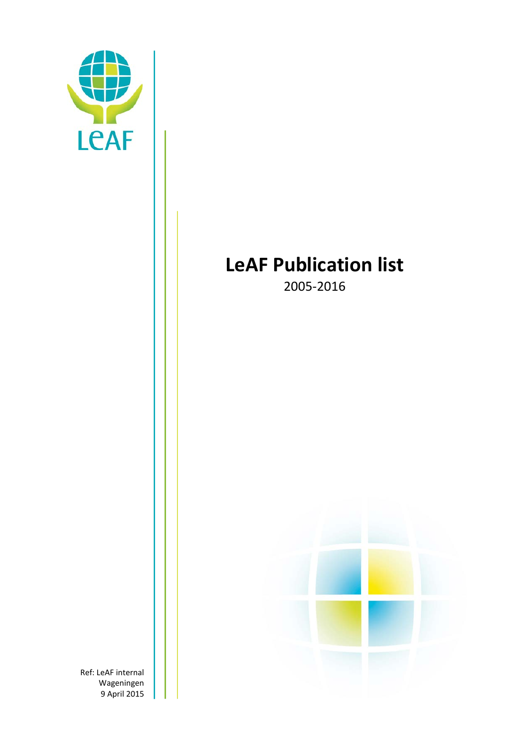

# **LeAF Publication list**

2005-2016



Ref: LeAF internal Wageningen 9 April 2015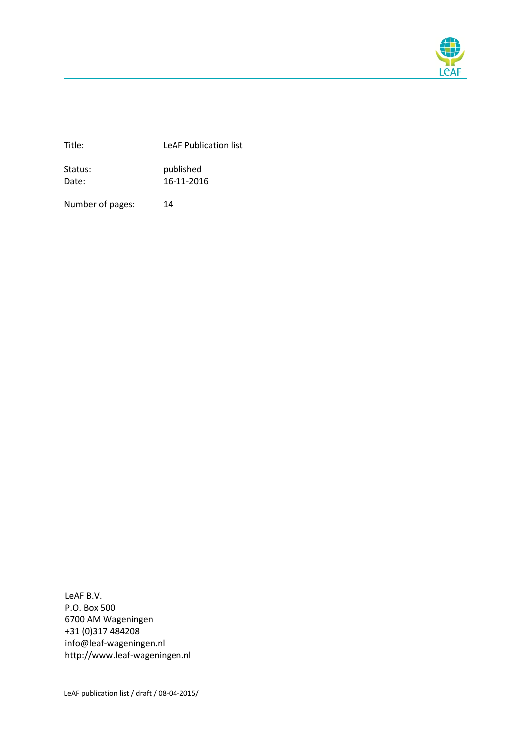

Title: LeAF Publication list

Status: published Date: 16-11-2016

Number of pages: 14

LeAF B.V. P.O. Box 500 6700 AM Wageningen +31 (0)317 484208 info@leaf-wageningen.nl http://www.leaf-wageningen.nl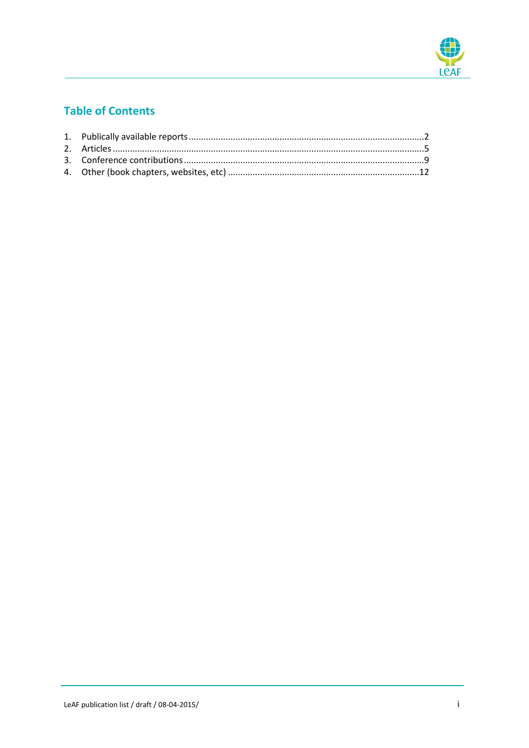

## **Table of Contents**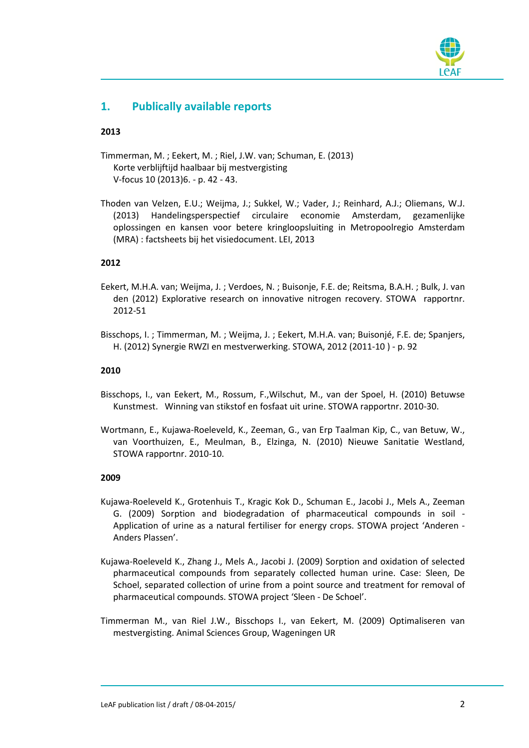

## **1. Publically available reports**

#### **2013**

- Timmerman, M. ; Eekert, M. ; Riel, J.W. van; Schuman, E. (2013) Korte verblijftijd haalbaar bij mestvergisting V-focus 10 (2013)6. - p. 42 - 43.
- Thoden van Velzen, E.U.; Weijma, J.; Sukkel, W.; Vader, J.; Reinhard, A.J.; Oliemans, W.J. (2013) Handelingsperspectief circulaire economie Amsterdam, gezamenlijke oplossingen en kansen voor betere kringloopsluiting in Metropoolregio Amsterdam (MRA) : factsheets bij het visiedocument. LEI, 2013

#### **2012**

- Eekert, M.H.A. van; Weijma, J. ; Verdoes, N. ; Buisonje, F.E. de; Reitsma, B.A.H. ; Bulk, J. van den (2012) Explorative research on innovative nitrogen recovery. STOWA rapportnr. 2012-51
- Bisschops, I. ; Timmerman, M. ; Weijma, J. ; Eekert, M.H.A. van; Buisonjé, F.E. de; Spanjers, H. (2012) Synergie RWZI en mestverwerking. STOWA, 2012 (2011-10 ) - p. 92

#### **2010**

- Bisschops, I., van Eekert, M., Rossum, F.,Wilschut, M., van der Spoel, H. (2010) Betuwse Kunstmest. Winning van stikstof en fosfaat uit urine. STOWA rapportnr. 2010-30.
- Wortmann, E., Kujawa-Roeleveld, K., Zeeman, G., van Erp Taalman Kip, C., van Betuw, W., van Voorthuizen, E., Meulman, B., Elzinga, N. (2010) Nieuwe Sanitatie Westland, STOWA rapportnr. 2010-10.

- Kujawa-Roeleveld K., Grotenhuis T., Kragic Kok D., Schuman E., Jacobi J., Mels A., Zeeman G. (2009) Sorption and biodegradation of pharmaceutical compounds in soil - Application of urine as a natural fertiliser for energy crops. STOWA project 'Anderen - Anders Plassen'.
- Kujawa-Roeleveld K., Zhang J., Mels A., Jacobi J. (2009) Sorption and oxidation of selected pharmaceutical compounds from separately collected human urine. Case: Sleen, De Schoel, separated collection of urine from a point source and treatment for removal of pharmaceutical compounds. STOWA project 'Sleen - De Schoel'.
- Timmerman M., van Riel J.W., Bisschops I., van Eekert, M. (2009) Optimaliseren van mestvergisting. Animal Sciences Group, Wageningen UR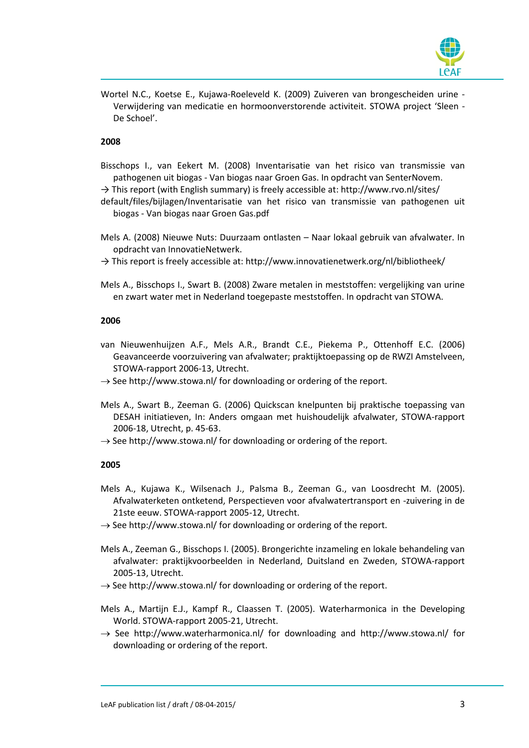

Wortel N.C., Koetse E., Kujawa-Roeleveld K. (2009) Zuiveren van brongescheiden urine - Verwijdering van medicatie en hormoonverstorende activiteit. STOWA project 'Sleen - De Schoel'.

#### **2008**

- Bisschops I., van Eekert M. (2008) Inventarisatie van het risico van transmissie van pathogenen uit biogas - Van biogas naar Groen Gas. In opdracht van SenterNovem.
- → This report (with English summary) is freely accessible at: http://www.rvo.nl/sites/
- default/files/bijlagen/Inventarisatie van het risico van transmissie van pathogenen uit biogas - Van biogas naar Groen Gas.pdf
- Mels A. (2008) Nieuwe Nuts: Duurzaam ontlasten Naar lokaal gebruik van afvalwater. In opdracht van InnovatieNetwerk.
- $\rightarrow$  This report is freely accessible at: http://www.innovatienetwerk.org/nl/bibliotheek/
- Mels A., Bisschops I., Swart B. (2008) Zware metalen in meststoffen: vergelijking van urine en zwart water met in Nederland toegepaste meststoffen. In opdracht van STOWA.

#### **2006**

- van Nieuwenhuijzen A.F., Mels A.R., Brandt C.E., Piekema P., Ottenhoff E.C. (2006) Geavanceerde voorzuivering van afvalwater; praktijktoepassing op de RWZI Amstelveen, STOWA-rapport 2006-13, Utrecht.
- $\rightarrow$  See http://www.stowa.nl/ for downloading or ordering of the report.
- Mels A., Swart B., Zeeman G. (2006) Quickscan knelpunten bij praktische toepassing van DESAH initiatieven, In: Anders omgaan met huishoudelijk afvalwater, STOWA-rapport 2006-18, Utrecht, p. 45-63.
- $\rightarrow$  See http://www.stowa.nl/ for downloading or ordering of the report.

- Mels A., Kujawa K., Wilsenach J., Palsma B., Zeeman G., van Loosdrecht M. (2005). Afvalwaterketen ontketend, Perspectieven voor afvalwatertransport en -zuivering in de 21ste eeuw. STOWA-rapport 2005-12, Utrecht.
- $\rightarrow$  See http://www.stowa.nl/ for downloading or ordering of the report.
- Mels A., Zeeman G., Bisschops I. (2005). Brongerichte inzameling en lokale behandeling van afvalwater: praktijkvoorbeelden in Nederland, Duitsland en Zweden, STOWA-rapport 2005-13, Utrecht.
- $\rightarrow$  See http://www.stowa.nl/ for downloading or ordering of the report.
- Mels A., Martijn E.J., Kampf R., Claassen T. (2005). Waterharmonica in the Developing World. STOWA-rapport 2005-21, Utrecht.
- $\rightarrow$  See http://www.waterharmonica.nl/ for downloading and http://www.stowa.nl/ for downloading or ordering of the report.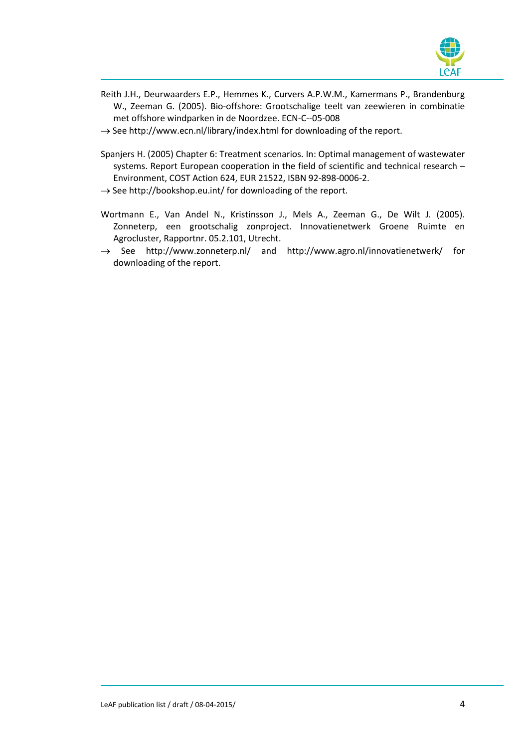

- Reith J.H., Deurwaarders E.P., Hemmes K., Curvers A.P.W.M., Kamermans P., Brandenburg W., Zeeman G. (2005). Bio-offshore: Grootschalige teelt van zeewieren in combinatie met offshore windparken in de Noordzee. ECN-C--05-008
- $\rightarrow$  See http://www.ecn.nl/library/index.html for downloading of the report.
- Spanjers H. (2005) Chapter 6: Treatment scenarios. In: Optimal management of wastewater systems. Report European cooperation in the field of scientific and technical research – Environment, COST Action 624, EUR 21522, ISBN 92-898-0006-2.
- $\rightarrow$  See http://bookshop.eu.int/ for downloading of the report.
- Wortmann E., Van Andel N., Kristinsson J., Mels A., Zeeman G., De Wilt J. (2005). Zonneterp, een grootschalig zonproject. Innovatienetwerk Groene Ruimte en Agrocluster, Rapportnr. 05.2.101, Utrecht.
- $\rightarrow$  See http://www.zonneterp.nl/ and http://www.agro.nl/innovatienetwerk/ for downloading of the report.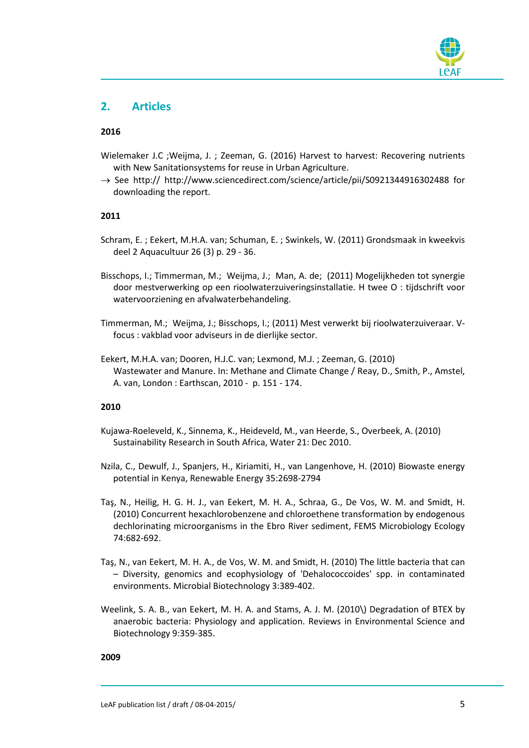

### **2. Articles**

#### **2016**

- Wielemaker J.C ;Weijma, J. ; Zeeman, G. (2016) Harvest to harvest: Recovering nutrients with New Sanitationsystems for reuse in Urban Agriculture.
- $\rightarrow$  See http:// http://www.sciencedirect.com/science/article/pii/S0921344916302488 for downloading the report.

#### **2011**

- Schram, E. ; Eekert, M.H.A. van; Schuman, E. ; Swinkels, W. (2011) Grondsmaak in kweekvis deel 2 Aquacultuur 26 (3) p. 29 - 36.
- Bisschops, I.; Timmerman, M.; Weijma, J.; Man, A. de; (2011) Mogelijkheden tot synergie door mestverwerking op een rioolwaterzuiveringsinstallatie. H twee O : tijdschrift voor watervoorziening en afvalwaterbehandeling.
- Timmerman, M.; Weijma, J.; Bisschops, I.; (2011) Mest verwerkt bij rioolwaterzuiveraar. Vfocus : vakblad voor adviseurs in de dierlijke sector.
- Eekert, M.H.A. van; Dooren, H.J.C. van; Lexmond, M.J. ; Zeeman, G. (2010) Wastewater and Manure. In: Methane and Climate Change / Reay, D., Smith, P., Amstel, A. van, London : Earthscan, 2010 - p. 151 - 174.

#### **2010**

- Kujawa-Roeleveld, K., Sinnema, K., Heideveld, M., van Heerde, S., Overbeek, A. (2010) Sustainability Research in South Africa, Water 21: Dec 2010.
- Nzila, C., Dewulf, J., Spanjers, H., Kiriamiti, H., van Langenhove, H. (2010) Biowaste energy potential in Kenya, Renewable Energy 35:2698-2794
- Taş, N., Heilig, H. G. H. J., van Eekert, M. H. A., Schraa, G., De Vos, W. M. and Smidt, H. (2010) Concurrent hexachlorobenzene and chloroethene transformation by endogenous dechlorinating microorganisms in the Ebro River sediment, FEMS Microbiology Ecology 74:682-692.
- Taş, N., van Eekert, M. H. A., de Vos, W. M. and Smidt, H. (2010) The little bacteria that can – Diversity, genomics and ecophysiology of 'Dehalococcoides' spp. in contaminated environments. Microbial Biotechnology 3:389-402.
- Weelink, S. A. B., van Eekert, M. H. A. and Stams, A. J. M. (2010\) Degradation of BTEX by anaerobic bacteria: Physiology and application. Reviews in Environmental Science and Biotechnology 9:359-385.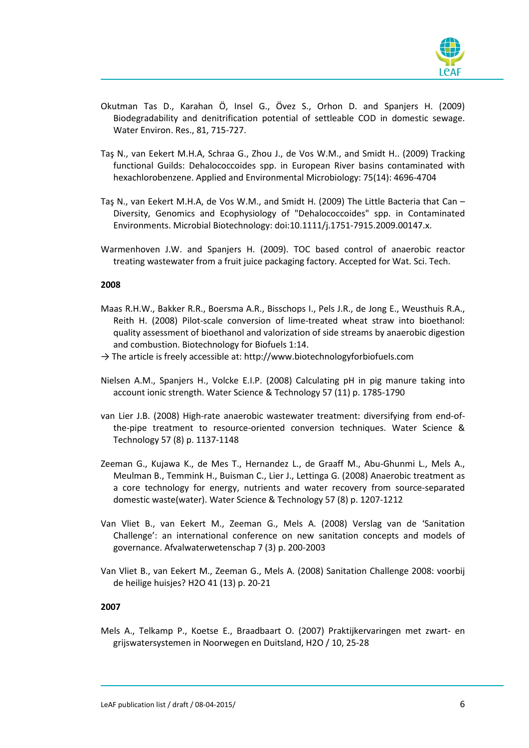

- Okutman Tas D., Karahan Ö, Insel G., Övez S., Orhon D. and Spanjers H. (2009) Biodegradability and denitrification potential of settleable COD in domestic sewage. Water Environ. Res., 81, 715-727.
- Taş N., van Eekert M.H.A, Schraa G., Zhou J., de Vos W.M., and Smidt H.. (2009) Tracking functional Guilds: Dehalococcoides spp. in European River basins contaminated with hexachlorobenzene. Applied and Environmental Microbiology: 75(14): 4696-4704
- Taş N., van Eekert M.H.A, de Vos W.M., and Smidt H. (2009) The Little Bacteria that Can Diversity, Genomics and Ecophysiology of "Dehalococcoides" spp. in Contaminated Environments. Microbial Biotechnology: doi:10.1111/j.1751-7915.2009.00147.x.
- Warmenhoven J.W. and Spanjers H. (2009). TOC based control of anaerobic reactor treating wastewater from a fruit juice packaging factory. Accepted for Wat. Sci. Tech.

#### **2008**

- Maas R.H.W., Bakker R.R., Boersma A.R., Bisschops I., Pels J.R., de Jong E., Weusthuis R.A., Reith H. (2008) Pilot-scale conversion of lime-treated wheat straw into bioethanol: quality assessment of bioethanol and valorization of side streams by anaerobic digestion and combustion. Biotechnology for Biofuels 1:14.
- $\rightarrow$  The article is freely accessible at: http://www.biotechnologyforbiofuels.com
- Nielsen A.M., Spanjers H., Volcke E.I.P. (2008) Calculating pH in pig manure taking into account ionic strength. Water Science & Technology 57 (11) p. 1785-1790
- van Lier J.B. (2008) High-rate anaerobic wastewater treatment: diversifying from end-ofthe-pipe treatment to resource-oriented conversion techniques. Water Science & Technology 57 (8) p. 1137-1148
- Zeeman G., Kujawa K., de Mes T., Hernandez L., de Graaff M., Abu-Ghunmi L., Mels A., Meulman B., Temmink H., Buisman C., Lier J., Lettinga G. (2008) Anaerobic treatment as a core technology for energy, nutrients and water recovery from source-separated domestic waste(water). Water Science & Technology 57 (8) p. 1207-1212
- Van Vliet B., van Eekert M., Zeeman G., Mels A. (2008) Verslag van de 'Sanitation Challenge': an international conference on new sanitation concepts and models of governance. Afvalwaterwetenschap 7 (3) p. 200-2003
- Van Vliet B., van Eekert M., Zeeman G., Mels A. (2008) Sanitation Challenge 2008: voorbij de heilige huisjes? H2O 41 (13) p. 20-21

#### **2007**

Mels A., Telkamp P., Koetse E., Braadbaart O. (2007) Praktijkervaringen met zwart- en grijswatersystemen in Noorwegen en Duitsland, H2O / 10, 25-28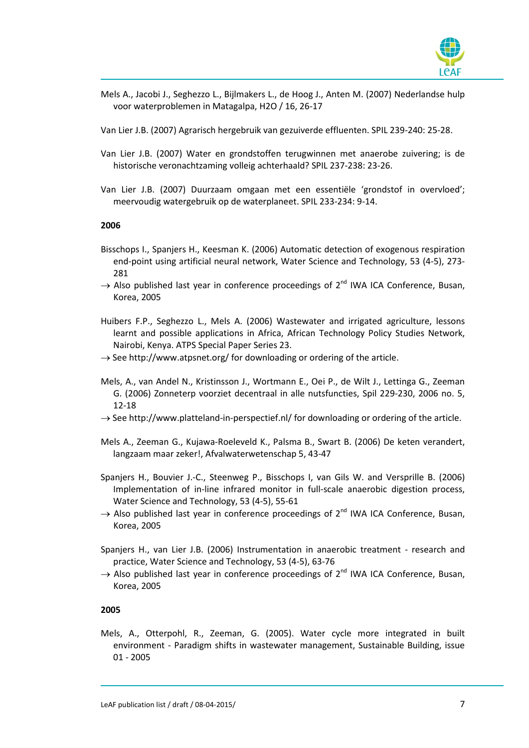

Mels A., Jacobi J., Seghezzo L., Bijlmakers L., de Hoog J., Anten M. (2007) Nederlandse hulp voor waterproblemen in Matagalpa, H2O / 16, 26-17

Van Lier J.B. (2007) Agrarisch hergebruik van gezuiverde effluenten. SPIL 239-240: 25-28.

- Van Lier J.B. (2007) Water en grondstoffen terugwinnen met anaerobe zuivering; is de historische veronachtzaming volleig achterhaald? SPIL 237-238: 23-26.
- Van Lier J.B. (2007) Duurzaam omgaan met een essentiële 'grondstof in overvloed'; meervoudig watergebruik op de waterplaneet. SPIL 233-234: 9-14.

#### **2006**

- Bisschops I., Spanjers H., Keesman K. (2006) Automatic detection of exogenous respiration end-point using artificial neural network, Water Science and Technology, 53 (4-5), 273- 281
- $\rightarrow$  Also published last year in conference proceedings of 2<sup>nd</sup> IWA ICA Conference, Busan, Korea, 2005
- Huibers F.P., Seghezzo L., Mels A. (2006) Wastewater and irrigated agriculture, lessons learnt and possible applications in Africa, African Technology Policy Studies Network, Nairobi, Kenya. ATPS Special Paper Series 23.
- $\rightarrow$  See http://www.atpsnet.org/ for downloading or ordering of the article.
- Mels, A., van Andel N., Kristinsson J., Wortmann E., Oei P., de Wilt J., Lettinga G., Zeeman G. (2006) Zonneterp voorziet decentraal in alle nutsfuncties, Spil 229-230, 2006 no. 5, 12-18
- $\rightarrow$  See http://www.platteland-in-perspectief.nl/ for downloading or ordering of the article.
- Mels A., Zeeman G., Kujawa-Roeleveld K., Palsma B., Swart B. (2006) De keten verandert, langzaam maar zeker!, Afvalwaterwetenschap 5, 43-47
- Spanjers H., Bouvier J.-C., Steenweg P., Bisschops I, van Gils W. and Versprille B. (2006) Implementation of in-line infrared monitor in full-scale anaerobic digestion process, Water Science and Technology, 53 (4-5), 55-61
- $\rightarrow$  Also published last year in conference proceedings of 2<sup>nd</sup> IWA ICA Conference, Busan, Korea, 2005
- Spanjers H., van Lier J.B. (2006) Instrumentation in anaerobic treatment research and practice, Water Science and Technology, 53 (4-5), 63-76
- $\rightarrow$  Also published last year in conference proceedings of 2<sup>nd</sup> IWA ICA Conference, Busan, Korea, 2005

#### **2005**

Mels, A., Otterpohl, R., Zeeman, G. (2005). Water cycle more integrated in built environment - Paradigm shifts in wastewater management, Sustainable Building, issue 01 - 2005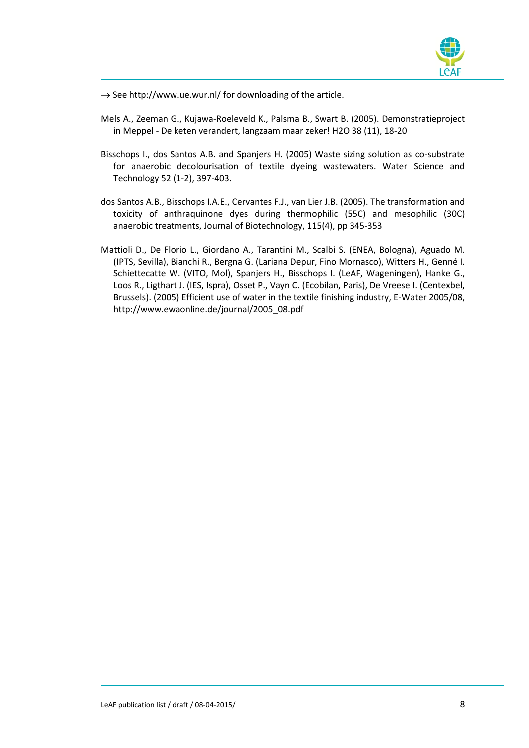

 $\rightarrow$  See http://www.ue.wur.nl/ for downloading of the article.

- Mels A., Zeeman G., Kujawa-Roeleveld K., Palsma B., Swart B. (2005). Demonstratieproject in Meppel - De keten verandert, langzaam maar zeker! H2O 38 (11), 18-20
- Bisschops I., dos Santos A.B. and Spanjers H. (2005) Waste sizing solution as co-substrate for anaerobic decolourisation of textile dyeing wastewaters. Water Science and Technology 52 (1-2), 397-403.
- dos Santos A.B., Bisschops I.A.E., Cervantes F.J., van Lier J.B. (2005). The transformation and toxicity of anthraquinone dyes during thermophilic (55C) and mesophilic (30C) anaerobic treatments, Journal of Biotechnology, 115(4), pp 345-353
- Mattioli D., De Florio L., Giordano A., Tarantini M., Scalbi S. (ENEA, Bologna), Aguado M. (IPTS, Sevilla), Bianchi R., Bergna G. (Lariana Depur, Fino Mornasco), Witters H., Genné I. Schiettecatte W. (VITO, Mol), Spanjers H., Bisschops I. (LeAF, Wageningen), Hanke G., Loos R., Ligthart J. (IES, Ispra), Osset P., Vayn C. (Ecobilan, Paris), De Vreese I. (Centexbel, Brussels). (2005) Efficient use of water in the textile finishing industry, E-Water 2005/08, http://www.ewaonline.de/journal/2005\_08.pdf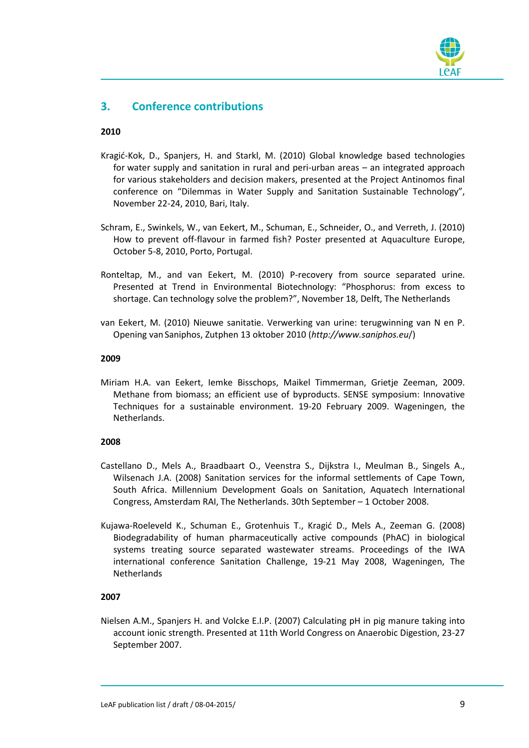

## **3. Conference contributions**

#### **2010**

- Kragić-Kok, D., Spanjers, H. and Starkl, M. (2010) Global knowledge based technologies for water supply and sanitation in rural and peri-urban areas – an integrated approach for various stakeholders and decision makers, presented at the Project Antinomos final conference on "Dilemmas in Water Supply and Sanitation Sustainable Technology", November 22-24, 2010, Bari, Italy.
- Schram, E., Swinkels, W., van Eekert, M., Schuman, E., Schneider, O., and Verreth, J. (2010) How to prevent off-flavour in farmed fish? Poster presented at Aquaculture Europe, October 5-8, 2010, Porto, Portugal.
- Ronteltap, M., and van Eekert, M. (2010) P-recovery from source separated urine. Presented at Trend in Environmental Biotechnology: "Phosphorus: from excess to shortage. Can technology solve the problem?", November 18, Delft, The Netherlands
- van Eekert, M. (2010) Nieuwe sanitatie. Verwerking van urine: terugwinning van N en P. Opening vanSaniphos, Zutphen 13 oktober 2010 (*http://www.saniphos.eu*/)

#### **2009**

Miriam H.A. van Eekert, Iemke Bisschops, Maikel Timmerman, Grietje Zeeman, 2009. Methane from biomass; an efficient use of byproducts. SENSE symposium: Innovative Techniques for a sustainable environment. 19-20 February 2009. Wageningen, the Netherlands.

#### **2008**

- Castellano D., Mels A., Braadbaart O., Veenstra S., Dijkstra I., Meulman B., Singels A., Wilsenach J.A. (2008) Sanitation services for the informal settlements of Cape Town, South Africa. Millennium Development Goals on Sanitation, Aquatech International Congress, Amsterdam RAI, The Netherlands. 30th September – 1 October 2008.
- Kujawa-Roeleveld K., Schuman E., Grotenhuis T., Kragić D., Mels A., Zeeman G. (2008) Biodegradability of human pharmaceutically active compounds (PhAC) in biological systems treating source separated wastewater streams. Proceedings of the IWA international conference Sanitation Challenge, 19-21 May 2008, Wageningen, The **Netherlands**

#### **2007**

Nielsen A.M., Spanjers H. and Volcke E.I.P. (2007) Calculating pH in pig manure taking into account ionic strength. Presented at 11th World Congress on Anaerobic Digestion, 23-27 September 2007.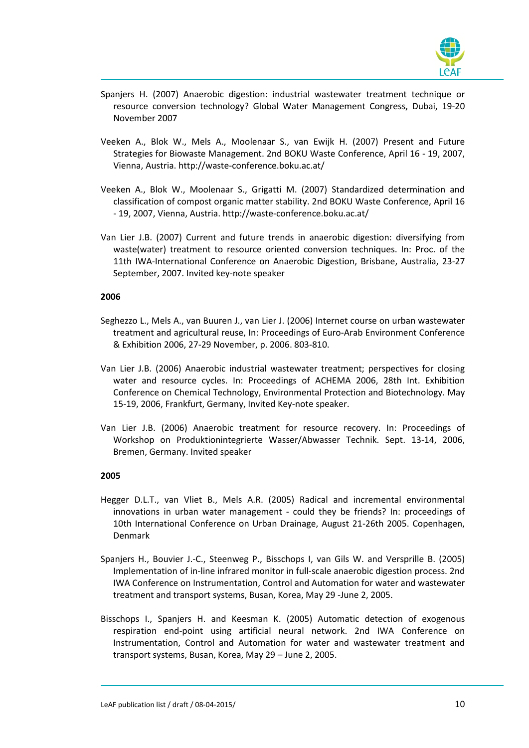

- Spanjers H. (2007) Anaerobic digestion: industrial wastewater treatment technique or resource conversion technology? Global Water Management Congress, Dubai, 19-20 November 2007
- Veeken A., Blok W., Mels A., Moolenaar S., van Ewijk H. (2007) Present and Future Strategies for Biowaste Management. 2nd BOKU Waste Conference, April 16 - 19, 2007, Vienna, Austria. http://waste-conference.boku.ac.at/
- Veeken A., Blok W., Moolenaar S., Grigatti M. (2007) Standardized determination and classification of compost organic matter stability. 2nd BOKU Waste Conference, April 16 - 19, 2007, Vienna, Austria. http://waste-conference.boku.ac.at/
- Van Lier J.B. (2007) Current and future trends in anaerobic digestion: diversifying from waste(water) treatment to resource oriented conversion techniques. In: Proc. of the 11th IWA-International Conference on Anaerobic Digestion, Brisbane, Australia, 23-27 September, 2007. Invited key-note speaker

#### **2006**

- Seghezzo L., Mels A., van Buuren J., van Lier J. (2006) Internet course on urban wastewater treatment and agricultural reuse, In: Proceedings of Euro-Arab Environment Conference & Exhibition 2006, 27-29 November, p. 2006. 803-810.
- Van Lier J.B. (2006) Anaerobic industrial wastewater treatment; perspectives for closing water and resource cycles. In: Proceedings of ACHEMA 2006, 28th Int. Exhibition Conference on Chemical Technology, Environmental Protection and Biotechnology. May 15-19, 2006, Frankfurt, Germany, Invited Key-note speaker.
- Van Lier J.B. (2006) Anaerobic treatment for resource recovery. In: Proceedings of Workshop on Produktionintegrierte Wasser/Abwasser Technik. Sept. 13-14, 2006, Bremen, Germany. Invited speaker

- Hegger D.L.T., van Vliet B., Mels A.R. (2005) Radical and incremental environmental innovations in urban water management - could they be friends? In: proceedings of 10th International Conference on Urban Drainage, August 21-26th 2005. Copenhagen, Denmark
- Spanjers H., Bouvier J.-C., Steenweg P., Bisschops I, van Gils W. and Versprille B. (2005) Implementation of in-line infrared monitor in full-scale anaerobic digestion process. 2nd IWA Conference on Instrumentation, Control and Automation for water and wastewater treatment and transport systems, Busan, Korea, May 29 -June 2, 2005.
- Bisschops I., Spanjers H. and Keesman K. (2005) Automatic detection of exogenous respiration end-point using artificial neural network. 2nd IWA Conference on Instrumentation, Control and Automation for water and wastewater treatment and transport systems, Busan, Korea, May 29 – June 2, 2005.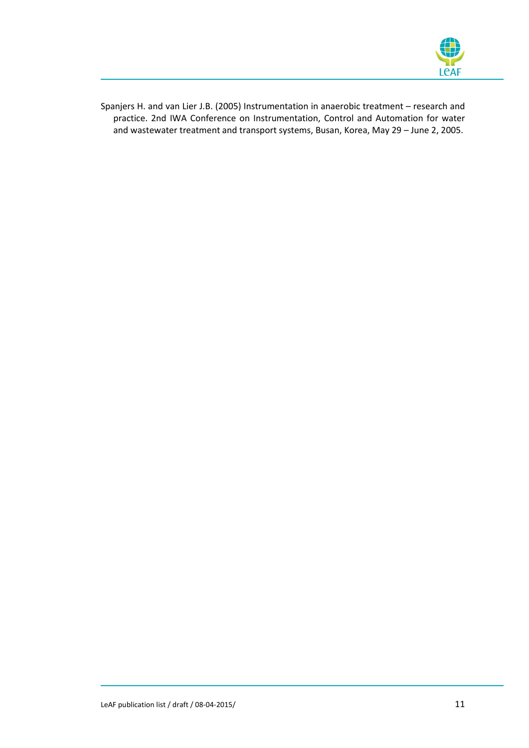

Spanjers H. and van Lier J.B. (2005) Instrumentation in anaerobic treatment – research and practice. 2nd IWA Conference on Instrumentation, Control and Automation for water and wastewater treatment and transport systems, Busan, Korea, May 29 – June 2, 2005.